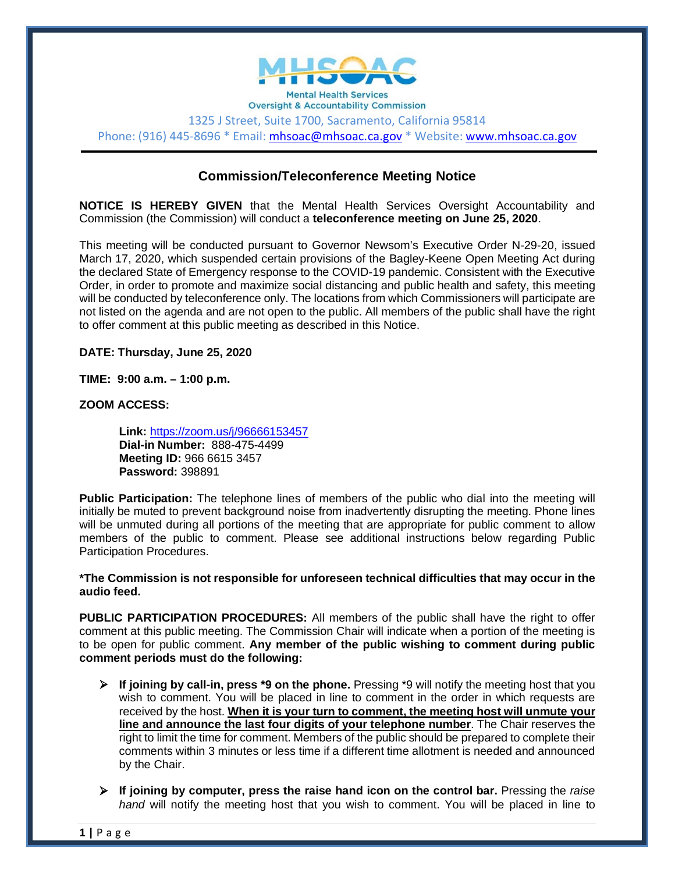

**Oversight & Accountability Commission** 1325 J Street, Suite 1700, Sacramento, California 95814 Phone: (916) 445-8696 \* Email: [mhsoac@mhsoac.ca.gov](mailto:mhsoac@mhsoac.ca.gov) \* Website[: www.mhsoac.ca.gov](http://www.mhsoac.ca.gov/)

# **Commission/Teleconference Meeting Notice**

**NOTICE IS HEREBY GIVEN** that the Mental Health Services Oversight Accountability and Commission (the Commission) will conduct a **teleconference meeting on June 25, 2020**.

This meeting will be conducted pursuant to Governor Newsom's Executive Order N-29-20, issued March 17, 2020, which suspended certain provisions of the Bagley-Keene Open Meeting Act during the declared State of Emergency response to the COVID-19 pandemic. Consistent with the Executive Order, in order to promote and maximize social distancing and public health and safety, this meeting will be conducted by teleconference only. The locations from which Commissioners will participate are not listed on the agenda and are not open to the public. All members of the public shall have the right to offer comment at this public meeting as described in this Notice.

**DATE: Thursday, June 25, 2020**

**TIME: 9:00 a.m. – 1:00 p.m.**

**ZOOM ACCESS:**

**Link:** <https://zoom.us/j/96666153457> **Dial-in Number:** 888-475-4499 **Meeting ID:** 966 6615 3457 **Password:** 398891

**Public Participation:** The telephone lines of members of the public who dial into the meeting will initially be muted to prevent background noise from inadvertently disrupting the meeting. Phone lines will be unmuted during all portions of the meeting that are appropriate for public comment to allow members of the public to comment. Please see additional instructions below regarding Public Participation Procedures.

**\*The Commission is not responsible for unforeseen technical difficulties that may occur in the audio feed.** 

**PUBLIC PARTICIPATION PROCEDURES:** All members of the public shall have the right to offer comment at this public meeting. The Commission Chair will indicate when a portion of the meeting is to be open for public comment. **Any member of the public wishing to comment during public comment periods must do the following:**

- **If joining by call-in, press \*9 on the phone.** Pressing \*9 will notify the meeting host that you wish to comment. You will be placed in line to comment in the order in which requests are received by the host. **When it is your turn to comment, the meeting host will unmute your line and announce the last four digits of your telephone number**. The Chair reserves the right to limit the time for comment. Members of the public should be prepared to complete their comments within 3 minutes or less time if a different time allotment is needed and announced by the Chair.
- **If joining by computer, press the raise hand icon on the control bar.** Pressing the *raise hand* will notify the meeting host that you wish to comment. You will be placed in line to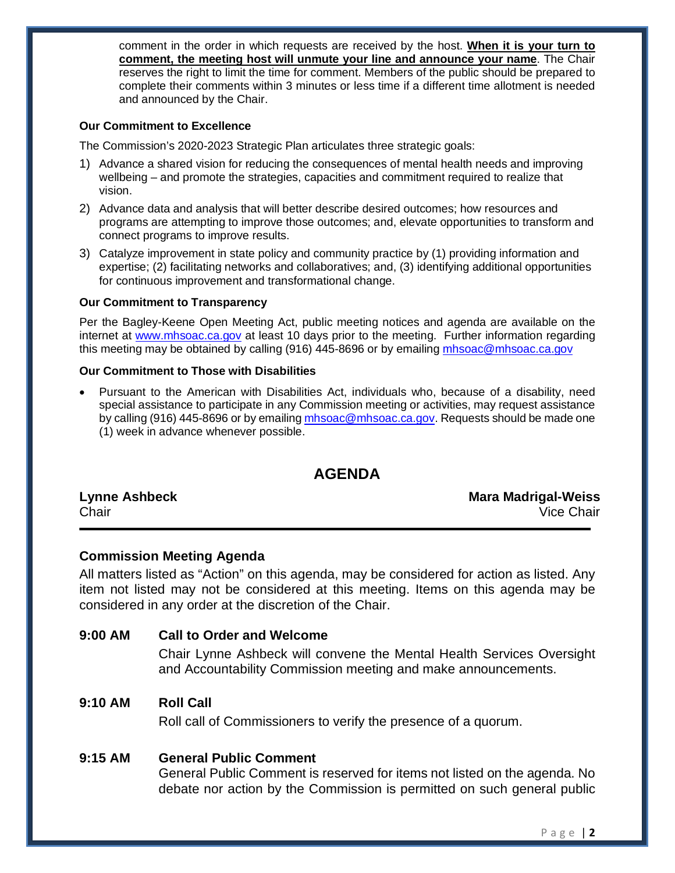comment in the order in which requests are received by the host. **When it is your turn to comment, the meeting host will unmute your line and announce your name**. The Chair reserves the right to limit the time for comment. Members of the public should be prepared to complete their comments within 3 minutes or less time if a different time allotment is needed and announced by the Chair.

#### **Our Commitment to Excellence**

The Commission's 2020-2023 Strategic Plan articulates three strategic goals:

- 1) Advance a shared vision for reducing the consequences of mental health needs and improving wellbeing – and promote the strategies, capacities and commitment required to realize that vision.
- 2) Advance data and analysis that will better describe desired outcomes; how resources and programs are attempting to improve those outcomes; and, elevate opportunities to transform and connect programs to improve results.
- 3) Catalyze improvement in state policy and community practice by (1) providing information and expertise; (2) facilitating networks and collaboratives; and, (3) identifying additional opportunities for continuous improvement and transformational change.

#### **Our Commitment to Transparency**

Per the Bagley-Keene Open Meeting Act, public meeting notices and agenda are available on the internet at [www.mhsoac.ca.gov](http://www.mhsoac.ca.gov/) at least 10 days prior to the meeting. Further information regarding this meeting may be obtained by calling (916) 445-8696 or by emailing [mhsoac@mhsoac.ca.gov](mailto:mhsoac@mhsoac.ca.gov)

#### **Our Commitment to Those with Disabilities**

• Pursuant to the American with Disabilities Act, individuals who, because of a disability, need special assistance to participate in any Commission meeting or activities, may request assistance by calling (916) 445-8696 or by emailing [mhsoac@mhsoac.ca.gov.](mailto:mhsoac@mhsoac.ca.gov) Requests should be made one (1) week in advance whenever possible.

# **AGENDA**

|       | <b>Lynne Ashbeck</b> |
|-------|----------------------|
| Chair |                      |

**Lynne Ashbeck Mara Madrigal-Weiss** Chair Vice Chair

### **Commission Meeting Agenda**

All matters listed as "Action" on this agenda, may be considered for action as listed. Any item not listed may not be considered at this meeting. Items on this agenda may be considered in any order at the discretion of the Chair.

#### **9:00 AM Call to Order and Welcome**

Chair Lynne Ashbeck will convene the Mental Health Services Oversight and Accountability Commission meeting and make announcements.

### **9:10 AM Roll Call**

Roll call of Commissioners to verify the presence of a quorum.

#### **9:15 AM General Public Comment**

General Public Comment is reserved for items not listed on the agenda. No debate nor action by the Commission is permitted on such general public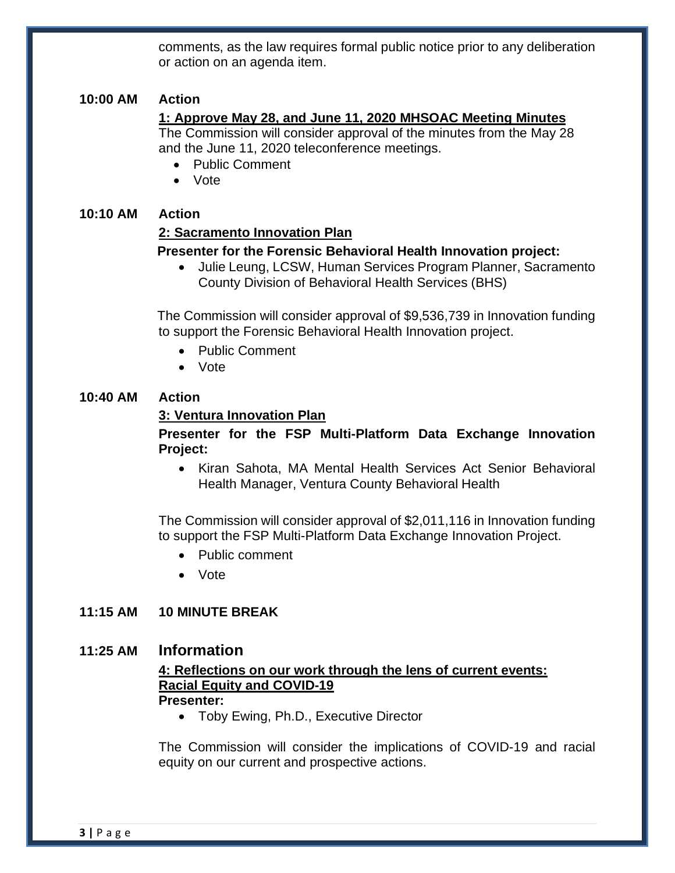comments, as the law requires formal public notice prior to any deliberation or action on an agenda item.

# **10:00 AM Action**

## **1: Approve May 28, and June 11, 2020 MHSOAC Meeting Minutes**

The Commission will consider approval of the minutes from the May 28 and the June 11, 2020 teleconference meetings.

- Public Comment
- Vote

### **10:10 AM Action**

### **2: Sacramento Innovation Plan**

### **Presenter for the Forensic Behavioral Health Innovation project:**

• Julie Leung, LCSW, Human Services Program Planner, Sacramento County Division of Behavioral Health Services (BHS)

The Commission will consider approval of \$9,536,739 in Innovation funding to support the Forensic Behavioral Health Innovation project.

- Public Comment
- Vote

## **10:40 AM Action**

### **3: Ventura Innovation Plan**

## **Presenter for the FSP Multi-Platform Data Exchange Innovation Project:**

• Kiran Sahota, MA Mental Health Services Act Senior Behavioral Health Manager, Ventura County Behavioral Health

The Commission will consider approval of \$2,011,116 in Innovation funding to support the FSP Multi-Platform Data Exchange Innovation Project.

- Public comment
- Vote

# **11:15 AM 10 MINUTE BREAK**

### **11:25 AM Information**

#### **4: Reflections on our work through the lens of current events: Racial Equity and COVID-19 Presenter:**

• Toby Ewing, Ph.D., Executive Director

The Commission will consider the implications of COVID-19 and racial equity on our current and prospective actions.